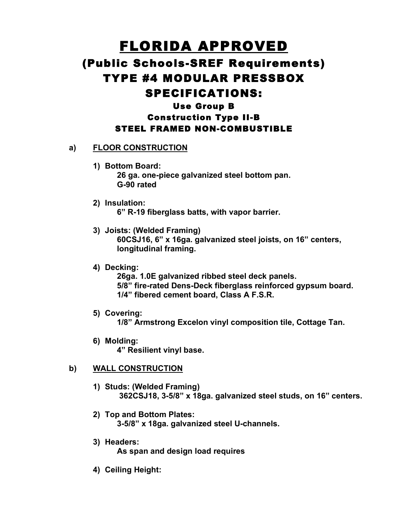# FLORIDA APPROVED (Public Schools-SREF Requirements) TYPE #4 MODULAR PRESSBOX SPECIFICATIONS: Use Group B Construction Type II-B

## STEEL FRAMED NON-COMBUSTIBLE

## **a) FLOOR CONSTRUCTION**

- **1) Bottom Board: 26 ga. one-piece galvanized steel bottom pan. G-90 rated**
- **2) Insulation: 6" R-19 fiberglass batts, with vapor barrier.**
- **3) Joists: (Welded Framing) 60CSJ16, 6" x 16ga. galvanized steel joists, on 16" centers, longitudinal framing.**
- **4) Decking:**

**26ga. 1.0E galvanized ribbed steel deck panels. 5/8" fire-rated Dens-Deck fiberglass reinforced gypsum board. 1/4" fibered cement board, Class A F.S.R.**

**5) Covering:**

**1/8" Armstrong Excelon vinyl composition tile, Cottage Tan.**

**6) Molding: 4" Resilient vinyl base.**

## **b) WALL CONSTRUCTION**

- **1) Studs: (Welded Framing) 362CSJ18, 3-5/8" x 18ga. galvanized steel studs, on 16" centers.**
- **2) Top and Bottom Plates: 3-5/8" x 18ga. galvanized steel U-channels.**
- **3) Headers: As span and design load requires**
- **4) Ceiling Height:**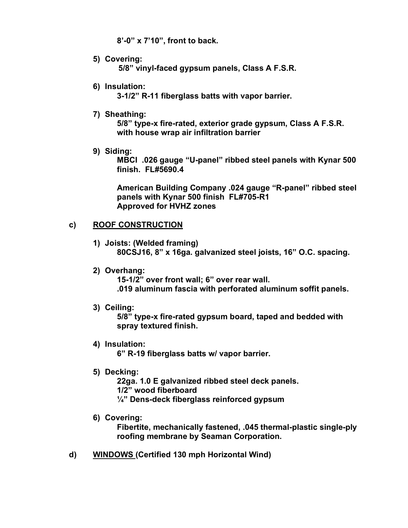**8'-0" x 7'10", front to back.**

- **5) Covering: 5/8" vinyl-faced gypsum panels, Class A F.S.R.**
- **6) Insulation:**

**3-1/2" R-11 fiberglass batts with vapor barrier.**

**7) Sheathing:**

**5/8" type-x fire-rated, exterior grade gypsum, Class A F.S.R. with house wrap air infiltration barrier**

**9) Siding:**

**MBCI .026 gauge "U-panel" ribbed steel panels with Kynar 500 finish. FL#5690.4**

**American Building Company .024 gauge "R-panel" ribbed steel panels with Kynar 500 finish FL#705-R1 Approved for HVHZ zones**

## **c) ROOF CONSTRUCTION**

- **1) Joists: (Welded framing) 80CSJ16, 8" x 16ga. galvanized steel joists, 16" O.C. spacing.**
- **2) Overhang:**

**15-1/2" over front wall; 6" over rear wall. .019 aluminum fascia with perforated aluminum soffit panels.**

**3) Ceiling:**

**5/8" type-x fire-rated gypsum board, taped and bedded with spray textured finish.**

**4) Insulation:**

**6" R-19 fiberglass batts w/ vapor barrier.**

**5) Decking:**

**22ga. 1.0 E galvanized ribbed steel deck panels. 1/2" wood fiberboard ¼" Dens-deck fiberglass reinforced gypsum**

**6) Covering:**

**Fibertite, mechanically fastened, .045 thermal-plastic single-ply roofing membrane by Seaman Corporation.**

**d) WINDOWS (Certified 130 mph Horizontal Wind)**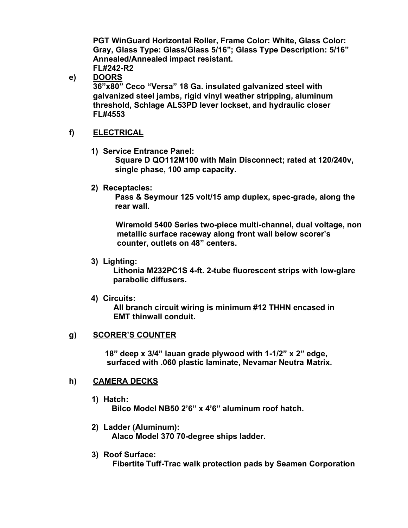**PGT WinGuard Horizontal Roller, Frame Color: White, Glass Color: Gray, Glass Type: Glass/Glass 5/16"; Glass Type Description: 5/16" Annealed/Annealed impact resistant. FL#242-R2**

**e) DOORS**

**36"x80" Ceco "Versa" 18 Ga. insulated galvanized steel with galvanized steel jambs, rigid vinyl weather stripping, aluminum threshold, Schlage AL53PD lever lockset, and hydraulic closer FL#4553**

#### **f) ELECTRICAL**

**1) Service Entrance Panel:**

**Square D QO112M100 with Main Disconnect; rated at 120/240v, single phase, 100 amp capacity.**

**2) Receptacles:**

**Pass & Seymour 125 volt/15 amp duplex, spec-grade, along the rear wall.**

**Wiremold 5400 Series two-piece multi-channel, dual voltage, non metallic surface raceway along front wall below scorer's counter, outlets on 48" centers.**

**3) Lighting:**

**Lithonia M232PC1S 4-ft. 2-tube fluorescent strips with low-glare parabolic diffusers.**

**4) Circuits:**

**All branch circuit wiring is minimum #12 THHN encased in EMT thinwall conduit.**

#### **g) SCORER'S COUNTER**

**18" deep x 3/4" lauan grade plywood with 1-1/2" x 2" edge, surfaced with .060 plastic laminate, Nevamar Neutra Matrix.**

#### **h) CAMERA DECKS**

**1) Hatch:**

**Bilco Model NB50 2'6" x 4'6" aluminum roof hatch.**

- **2) Ladder (Aluminum): Alaco Model 370 70-degree ships ladder.**
- **3) Roof Surface: Fibertite Tuff-Trac walk protection pads by Seamen Corporation**